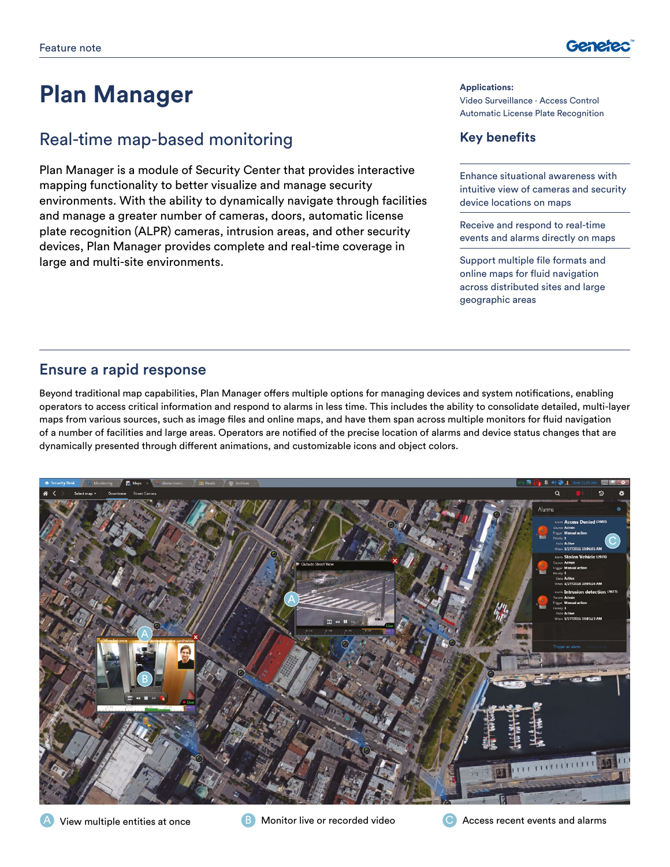

# **Plan Manager**

# Real-time map-based monitoring

Plan Manager is a module of Security Center that provides interactive mapping functionality to better visualize and manage security environments. With the ability to dynamically navigate through facilities and manage a greater number of cameras, doors, automatic license plate recognition (ALPR) cameras, intrusion areas, and other security devices, Plan Manager provides complete and real-time coverage in large and multi-site environments.

#### **Applications:**

Video Surveillance ∙ Access Control Automatic License Plate Recognition

## **Key benefits**

Enhance situational awareness with intuitive view of cameras and security device locations on maps

Receive and respond to real-time events and alarms directly on maps

Support multiple file formats and online maps for fluid navigation across distributed sites and large geographic areas

## Ensure a rapid response

Beyond traditional map capabilities, Plan Manager offers multiple options for managing devices and system notifications, enabling operators to access critical information and respond to alarms in less time. This includes the ability to consolidate detailed, multi-layer maps from various sources, such as image files and online maps, and have them span across multiple monitors for fluid navigation of a number of facilities and large areas. Operators are notified of the precise location of alarms and device status changes that are dynamically presented through different animations, and customizable icons and object colors.